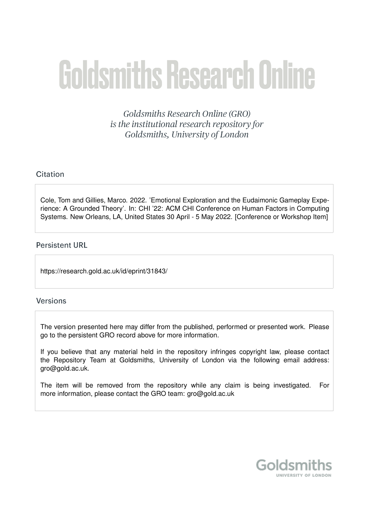# **Goldsmiths Research Online**

Goldsmiths Research Online (GRO) is the institutional research repository for Goldsmiths, University of London

# Citation

Cole, Tom and Gillies, Marco. 2022. 'Emotional Exploration and the Eudaimonic Gameplay Experience: A Grounded Theory'. In: CHI '22: ACM CHI Conference on Human Factors in Computing Systems. New Orleans, LA, United States 30 April - 5 May 2022. [Conference or Workshop Item]

# **Persistent URL**

https://research.gold.ac.uk/id/eprint/31843/

# **Versions**

The version presented here may differ from the published, performed or presented work. Please go to the persistent GRO record above for more information.

If you believe that any material held in the repository infringes copyright law, please contact the Repository Team at Goldsmiths, University of London via the following email address: gro@gold.ac.uk.

The item will be removed from the repository while any claim is being investigated. For more information, please contact the GRO team: gro@gold.ac.uk

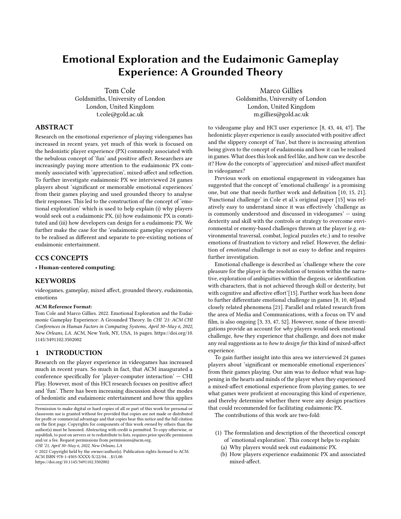# Emotional Exploration and the Eudaimonic Gameplay Experience: A Grounded Theory

Tom Cole Goldsmiths, University of London London, United Kingdom t.cole@gold.ac.uk

Marco Gillies Goldsmiths, University of London London, United Kingdom m.gillies@gold.ac.uk

# ABSTRACT

Research on the emotional experience of playing videogames has increased in recent years, yet much of this work is focused on the hedonistic player experience (PX) commonly associated with the nebulous concept of 'fun' and positive affect. Researchers are increasingly paying more attention to the eudaimonic PX commonly associated with 'appreciation', mixed-affect and reflection. To further investigate eudaimonic PX we interviewed 24 games players about 'significant or memorable emotional experiences' from their games playing and used grounded theory to analyse their responses. This led to the construction of the concept of 'emotional exploration' which is used to help explain (i) why players would seek out a eudaimonic PX, (ii) how eudaimonic PX is constituted and (iii) how developers can design for a eudaimonic PX. We further make the case for the 'eudaimonic gameplay experience' to be realised as different and separate to pre-existing notions of eudaimonic entertainment.

#### CCS CONCEPTS

• Human-centered computing;

#### **KEYWORDS**

videogames, gameplay, mixed affect, grounded theory, eudaimonia, emotions

#### ACM Reference Format:

Tom Cole and Marco Gillies. 2022. Emotional Exploration and the Eudaimonic Gameplay Experience: A Grounded Theory. In CHI '21: ACM CHI Conferences in Human Factors in Computing Systems, April 30–May 6, 2022, New Orleans, LA. ACM, New York, NY, USA, [16](#page-16-0) pages. [https://doi.org/10.](https://doi.org/10.1145/3491102.3502002) [1145/3491102.3502002](https://doi.org/10.1145/3491102.3502002)

#### 1 INTRODUCTION

Research on the player experience in videogames has increased much in recent years. So much in fact, that ACM inaugurated a conference specifically for 'player-computer interaction' — CHI Play. However, most of this HCI research focuses on positive affect and 'fun'. There has been increasing discussion about the modes of hedonistic and eudaimonic entertainment and how this applies

CHI '21, April 30–May 6, 2022, New Orleans, LA

© 2022 Copyright held by the owner/author(s). Publication rights licensed to ACM. ACM ISBN 978-1-4503-XXXX-X/22/04. . . \$15.00 <https://doi.org/10.1145/3491102.3502002>

to videogame play and HCI user experience [\[8,](#page-11-0) [43,](#page-12-0) [44,](#page-12-1) [47\]](#page-12-2). The hedonistic player experience is easily associated with positive affect and the slippery concept of 'fun', but there is increasing attention being given to the concept of eudaimonia and how it can be realised in games. What does this look and feel like, and how can we describe it? How do the concepts of 'appreciation' and mixed-affect manifest in videogames?

Previous work on emotional engagement in videogames has suggested that the concept of 'emotional challenge' is a promising one, but one that needs further work and definition [\[10,](#page-11-1) [15,](#page-11-2) [21\]](#page-12-3). 'Functional challenge' in Cole et al.'s original paper [\[15\]](#page-11-2) was relatively easy to understand since it was effectively 'challenge as is commonly understood and discussed in videogames' — using dexterity and skill with the controls or strategy to overcome environmental or enemy-based challenges thrown at the player (e.g. environmental traversal, combat, logical puzzles etc.) and to resolve emotions of frustration to victory and relief. However, the definition of emotional challenge is not as easy to define and requires further investigation.

Emotional challenge is described as 'challenge where the core pleasure for the player is the resolution of tension within the narrative, exploration of ambiguities within the diegesis, or identification with characters, that is not achieved through skill or dexterity, but with cognitive and affective effort'[\[15\]](#page-11-2). Further work has been done to further differentiate emotional challenge in games [\[8,](#page-11-0) [10,](#page-11-1) [48\]](#page-12-4)and closely related phenomena [\[21\]](#page-12-3). Parallel and related research from the area of Media and Communications, with a focus on TV and film, is also ongoing [\[3,](#page-11-3) [33,](#page-12-5) [47,](#page-12-2) [52\]](#page-12-6). However, none of these investigations provide an account for  $why$  players would seek emotional challenge, how they experience that challenge, and does not make any real suggestions as to how to design for this kind of mixed-affect experience.

To gain further insight into this area we interviewed 24 games players about 'significant or memorable emotional experiences' from their games playing. Our aim was to deduce what was happening in the hearts and minds of the player when they experienced a mixed-affect emotional experience from playing games, to see what games were proficient at encouraging this kind of experience, and thereby determine whether there were any design practices that could recommended for facilitating eudaimonic PX.

The contributions of this work are two-fold:

- (1) The formulation and description of the theoretical concept of 'emotional exploration'. This concept helps to explain:
	- (a) Why players would seek out eudaimonic PX.
	- (b) How players experience eudaimonic PX and associated mixed-affect.

Permission to make digital or hard copies of all or part of this work for personal or classroom use is granted without fee provided that copies are not made or distributed for profit or commercial advantage and that copies bear this notice and the full citation on the first page. Copyrights for components of this work owned by others than the author(s) must be honored. Abstracting with credit is permitted. To copy otherwise, or republish, to post on servers or to redistribute to lists, requires prior specific permission and/or a fee. Request permissions from permissions@acm.org.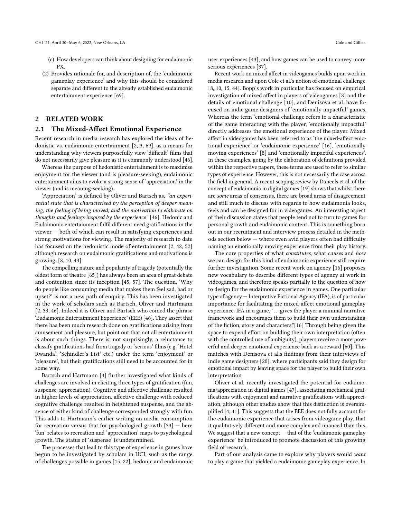- (c) How developers can think about designing for eudaimonic PX.
- (2) Provides rationale for, and description of, the 'eudaimonic gameplay experience' and why this should be considered separate and different to the already established eudaimonic entertainment experience [\[69\]](#page-13-0).

# 2 RELATED WORK

#### 2.1 The Mixed-Affect Emotional Experience

Recent research in media research has explored the ideas of hedonistic vs. eudaimonic entertainment [\[2,](#page-11-4) [3,](#page-11-3) [69\]](#page-13-0), as a means for understanding why viewers purposefully view 'difficult' films that do not necessarily give pleasure as it is commonly understood [\[46\]](#page-12-7).

Whereas the purpose of hedonistic entertainment is to maximise enjoyment for the viewer (and is pleasure-seeking), eudaimonic entertainment aims to evoke a strong sense of 'appreciation' in the viewer (and is meaning-seeking).

'Appreciation' is defined by Oliver and Bartsch as, "an experiential state that is characterised by the perception of deeper meaning, the feeling of being moved, and the motivation to elaborate on thoughts and feelings inspired by the experience" [\[46\]](#page-12-7). Hedonic and Eudaimonic entertainment fulfil different need gratifications in the viewer — both of which can result in satisfying experiences and strong motivations for viewing. The majority of research to date has focused on the hedonistic mode of entertainment [\[2,](#page-11-4) [42,](#page-12-8) [52\]](#page-12-6) although research on eudaimonic gratifications and motivations is growing. [\[8,](#page-11-0) [10,](#page-11-1) [43\]](#page-12-0).

The compelling nature and popularity of tragedy (potentially the oldest form of theatre [\[65\]](#page-12-9)) has always been an area of great debate and contention since its inception [\[45,](#page-12-10) [57\]](#page-12-11). The question, 'Why do people like consuming media that makes them feel sad, bad or upset?' is not a new path of enquiry. This has been investigated in the work of scholars such as Bartsch, Oliver and Hartmann [\[2,](#page-11-4) [33,](#page-12-5) [46\]](#page-12-7). Indeed it is Oliver and Bartsch who coined the phrase 'Eudaimonic Entertainment Experience' (EEE) [\[46\]](#page-12-7). They assert that there has been much research done on gratifications arising from amusement and pleasure, but point out that not all entertainment is about such things. There is, not surprisingly, a reluctance to classify gratifications had from tragedy or 'serious' films (e.g. 'Hotel Rwanda', 'Schindler's List' etc.) under the term 'enjoyment' or 'pleasure', but their gratifications still need to be accounted for in some way.

Bartsch and Hartmann [\[3\]](#page-11-3) further investigated what kinds of challenges are involved in eliciting three types of gratification (fun, suspense, appreciation). Cognitive and affective challenge resulted in higher levels of appreciation, affective challenge with reduced cognitive challenge resulted in heightened suspense, and the absence of either kind of challenge corresponded strongly with fun. This adds to Hartmann's earlier writing on media consumption for recreation versus that for psychological growth [\[33\]](#page-12-5) — here 'fun' relates to recreation and 'appreciation' maps to psychological growth. The status of 'suspense' is undetermined.

The processes that lead to this type of experience in games have begun to be investigated by scholars in HCI, such as the range of challenges possible in games [\[15,](#page-11-2) [22\]](#page-12-12), hedonic and eudaimonic user experiences [\[43\]](#page-12-0), and how games can be used to convey more serious experiences [\[37\]](#page-12-13).

Recent work on mixed affect in videogames builds upon work in media research and upon Cole et al.'s notion of emotional challenge [\[8,](#page-11-0) [10,](#page-11-1) [15,](#page-11-2) [44\]](#page-12-1). Bopp's work in particular has focused on empirical investigation of mixed affect in players of videogames [\[8\]](#page-11-0) and the details of emotional challenge [\[10\]](#page-11-1), and Denisova et al. have focused on indie game designers of 'emotionally impactful' games. Whereas the term 'emotional challenge refers to a characteristic of the game interacting with the player, 'emotionally impactful' directly addresses the emotional experience of the player. Mixed affect in videogames has been referred to as 'the mixed-affect emotional experience' or 'eudaimonic experience' [\[16\]](#page-12-14), 'emotionally moving experiences' [\[8\]](#page-11-0) and 'emotionally impactful experiences'. In these examples, going by the elaboration of definitions provided within the respective papers, these terms are used to refer to similar types of experience. However, this is not necessarily the case across the field in general. A recent scoping review by Daneels et al. of the concept of eudaimonia in digital games [\[19\]](#page-12-15) shows that whilst there are some areas of consensus, there are broad areas of disagreement and still much to discuss with regards to how eudaimonia looks, feels and can be designed for in videogames. An interesting aspect of their discussion states that people tend not to turn to games for personal growth and eudaimonic content. This is something born out in our recruitment and interview process detailed in the methods section below — where even avid players often had difficulty naming an emotionally moving experience from their play history.

The core properties of what constitutes, what causes and how we can design for this kind of eudaimonic experience still require further investigation. Some recent work on agency [\[16\]](#page-12-14) proposes new vocabulary to describe different types of agency at work in videogames, and therefore speaks partially to the question of how to design for the eudaimonic experience in games. One particular type of agency — Interpretive Fictional Agency (IFA), is of particular importance for facilitating the mixed-affect emotional gameplay experience. IFA in a game, ". . .gives the player a minimal narrative framework and encourages them to build their own understanding of the fiction, story and characters."[\[16\]](#page-12-14) Through being given the space to expend effort on building their own interpretation (often with the controlled use of ambiguity), players receive a more powerful and deeper emotional experience back as a reward [\[60\]](#page-12-16). This matches with Denisova et al.s findings from their interviews of indie game designers [\[20\]](#page-12-17), where participants said they design for emotional impact by leaving space for the player to build their own interpretation.

Oliver et al. recently investigated the potential for eudaimonia/appreciation in digital games [\[47\]](#page-12-2), associating mechanical gratifications with enjoyment and narrative gratifications with appreciation, although other studies show that this distinction is oversimplified [\[4,](#page-11-5) [41\]](#page-12-18). This suggests that the EEE does not fully account for the eudaimonic experience that arises from videogame play, that it qualitatively different and more complex and nuanced than this. We suggest that a new concept — that of the 'eudaimonic gameplay experience' be introduced to promote discussion of this growing field of research.

Part of our analysis came to explore why players would want to play a game that yielded a eudaimonic gameplay experience. In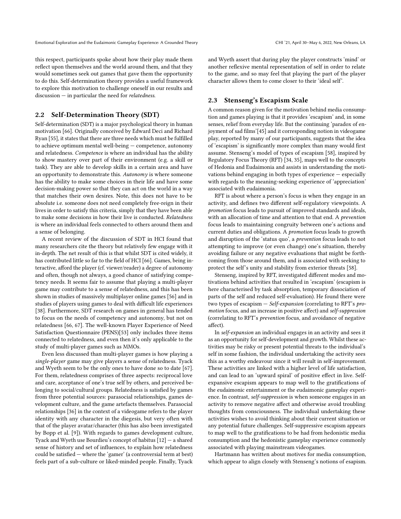this respect, participants spoke about how their play made them reflect upon themselves and the world around them, and that they would sometimes seek out games that gave them the opportunity to do this. Self-determination theory provides a useful framework to explore this motivation to challenge oneself in our results and discussion — in particular the need for relatedness.

#### 2.2 Self-Determination Theory (SDT)

Self-determination (SDT) is a major psychological theory in human motivation [\[66\]](#page-12-19). Originally conceived by Edward Deci and Richard Ryan [\[55\]](#page-12-20), it states that there are three needs which must be fulfilled to achieve optimum mental well-being — competence, autonomy and relatedness. Competence is where an individual has the ability to show mastery over part of their environment (e.g. a skill or task). They are able to develop skills in a certain area and have an opportunity to demonstrate this. Autonomy is where someone has the ability to make some choices in their life and have some decision-making power so that they can act on the world in a way that matches their own desires. Note, this does not have to be absolute i.e. someone does not need completely free-reign in their lives in order to satisfy this criteria, simply that they have been able to make some decisions in how their live is conducted. Relatedness is where an individual feels connected to others around them and a sense of belonging.

A recent review of the discussion of SDT in HCI found that many researchers cite the theory but relatively few engage with it in-depth. The net result of this is that whilst SDT is cited widely, it has contributed little so far to the field of HCI [\[66\]](#page-12-19). Games, being interactive, afford the player (cf. viewer/reader) a degree of autonomy and often, though not always, a good chance of satisfying competency needs. It seems fair to assume that playing a multi-player game may contribute to a sense of relatedness, and this has been shown in studies of massively multiplayer online games [\[56\]](#page-12-21) and in studies of players using games to deal with difficult life experiences [\[38\]](#page-12-22). Furthermore, SDT research on games in general has tended to focus on the needs of competency and autonomy, but not on relatedness [\[66,](#page-12-19) [67\]](#page-12-23). The well-known Player Experience of Need Satisfaction Questionnaire (PENS)[\[53\]](#page-12-24) only includes three items connected to relatedness, and even then it's only applicable to the study of multi-player games such as MMOs.

Even less discussed than multi-player games is how playing a single-player game may give players a sense of relatedness. Tyack and Wyeth seem to be the only ones to have done so to date [\[67\]](#page-12-23). For them, relatedness comprises of three aspects: reciprocal love and care, acceptance of one's true self by others, and perceived belonging to social/cultural groups. Relatedness is satisfied by games from three potential sources: parasocial relationships, games development culture, and the game artefacts themselves. Parasocial relationships [\[36\]](#page-12-25) in the context of a videogame refers to the player identity with any character in the diegesis, but very often with that of the player avatar/character (this has also been investigated by Bopp et al. [\[9\]](#page-11-6)). With regards to games development culture, Tyack and Wyeth use Bourdieu's concept of habitus [\[12\]](#page-11-7) — a shared sense of history and set of influences, to explain how relatedness could be satisfied — where the 'gamer' (a controversial term at best) feels part of a sub-culture or liked-minded people. Finally, Tyack

and Wyeth assert that during play the player constructs 'mind' or another reflexive mental representation of self in order to relate to the game, and so may feel that playing the part of the player character allows them to come closer to their 'ideal self'.

#### 2.3 Stenseng's Escapism Scale

A common reason given for the motivation behind media consumption and games playing is that it provides 'escapism' and, in some senses, relief from everyday life. But the continuing 'paradox of enjoyment of sad films'[\[45\]](#page-12-10) and it corresponding notion in videogame play, reported by many of our participants, suggests that the idea of 'escapism' is significantly more complex than many would first assume. Stenseng's model of types of escapism [\[58\]](#page-12-26), inspired by Regulatory Focus Theory (RFT) [\[34,](#page-12-27) [35\]](#page-12-28), maps well to the concepts of Hedonia and Eudaimonia and assists in understanding the motivations behind engaging in both types of experience — especially with regards to the meaning-seeking experience of 'appreciation' associated with eudaimonia.

RFT is about where a person's focus is when they engage in an activity, and defines two different self-regulatory viewpoints. A promotion focus leads to pursuit of improved standards and ideals, with an allocation of time and attention to that end. A prevention focus leads to maintaining congruity between one's actions and current duties and obligations. A promotion focus leads to growth and disruption of the 'status quo', a prevention focus leads to not attempting to improve (or even change) one's situation, thereby avoiding failure or any negative evaluations that might be forthcoming from those around them, and is associated with seeking to protect the self's unity and stability from exterior threats [\[58\]](#page-12-26).

Stenseng, inspired by RFT, investigated different modes and motivations behind activities that resulted in 'escapism' (escapism is here characterised by task absorption, temporary dissociation of parts of the self and reduced self-evaluation). He found there were two types of escapism — Self-expansion (correlating to RFT's promotion focus, and an increase in positive affect) and self-suppression (correlating to RFT's prevention focus, and avoidance of negative affect).

In self-expansion an individual engages in an activity and sees it as an opportunity for self-development and growth. Whilst these activities may be risky or present potential threats to the individual's self in some fashion, the individual undertaking the activity sees this as a worthy endeavour since it will result in self-improvement. These activities are linked with a higher level of life satisfaction, and can lead to an 'upward spiral' of positive effect in live. Selfexpansive escapism appears to map well to the gratifications of the eudaimonic entertainment or the eudaimonic gameplay experience. In contrast, self-suppression is when someone engages in an activity to remove negative affect and otherwise avoid troubling thoughts from consciousness. The individual undertaking these activities wishes to avoid thinking about their current situation or any potential future challenges. Self-suppressive escapism appears to map well to the gratifications to be had from hedonistic media consumption and the hedonistic gameplay experience commonly associated with playing mainstream videogames.

Hartmann has written about motives for media consumption, which appear to align closely with Stenseng's notions of esapism.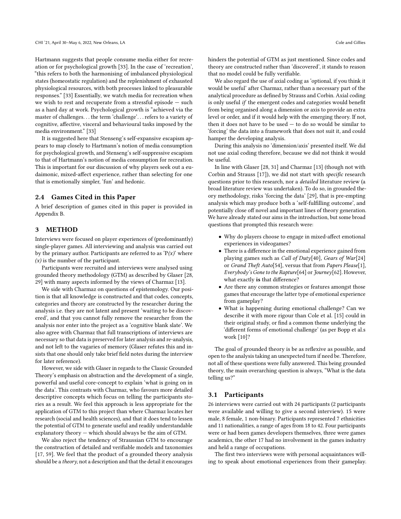Hartmann suggests that people consume media either for recreation or for psychological growth [\[33\]](#page-12-5). In the case of 'recreation', "this refers to both the harmonising of imbalanced physiological states (homeostatic regulation) and the replenishment of exhausted physiological resources, with both processes linked to pleasurable responses." [\[33\]](#page-12-5) Essentially, we watch media for recreation when we wish to rest and recuperate from a stressful episode — such as a hard day at work. Psychological growth is "achieved via the master of challenges. . . the term 'challenge'. . .refers to a variety of cognitive, affective, visceral and behavioural tasks imposed by the media environment." [\[33\]](#page-12-5)

It is suggested here that Stenseng's self-expansive escapism appears to map closely to Hartmann's notion of media consumption for psychological growth, and Stenseng's self-suppressive escapism to that of Hartmann's notion of media consumption for recreation. This is important for our discussion of why players seek out a eudaimonic, mixed-affect experience, rather than selecting for one that is emotionally simpler, 'fun' and hedonic.

#### 2.4 Games Cited in this Paper

A brief description of games cited in this paper is provided in Appendix [B.](#page-15-0)

#### 3 METHOD

Interviews were focused on player experiences of (predominantly) single-player games. All interviewing and analysis was carried out by the primary author. Participants are referred to as  $P(x)$  where  $(x)$  is the number of the participant.

Participants were recruited and interviews were analysed using grounded theory methodology (GTM) as described by Glaser [\[28,](#page-12-29) [29\]](#page-12-30) with many aspects informed by the views of Charmaz [\[13\]](#page-11-8).

We side with Charmaz on questions of epistemology. Our position is that all knowledge is constructed and that codes, concepts, categories and theory are constructed by the researcher during the analysis i.e. they are not latent and present 'waiting to be discovered', and that you cannot fully remove the researcher from the analysis nor enter into the project as a 'cognitive blank slate'. We also agree with Charmaz that full transcriptions of interviews are necessary so that data is preserved for later analysis and re-analysis, and not left to the vagaries of memory (Glaser refutes this and insists that one should only take brief field notes during the interview for later reference).

However, we side with Glaser in regards to the Classic Grounded Theory's emphasis on abstraction and the development of a single, powerful and useful core-concept to explain 'what is going on in the data'. This contrasts with Charmaz, who favours more detailed descriptive concepts which focus on telling the participants stories as a result. We feel this approach is less appropriate for the application of GTM to this project than where Charmaz locates her research (social and health sciences), and that it does tend to lessen the potential of GTM to generate useful and readily understandable explanatory theory — which should always be the aim of GTM.

We also reject the tendency of Straussian GTM to encourage the construction of detailed and verifiable models and taxonomies [\[17,](#page-12-31) [59\]](#page-12-32). We feel that the product of a grounded theory analysis should be a theory, not a description and that the detail it encourages hinders the potential of GTM as just mentioned. Since codes and theory are constructed rather than 'discovered', it stands to reason that no model could be fully verifiable.

We also regard the use of axial coding as 'optional, if you think it would be useful' after Charmaz, rather than a necessary part of the analytical procedure as defined by Strauss and Corbin. Axial coding is only useful  $if$  the emergent codes and categories would benefit from being organised along a dimension or axis to provide an extra level or order, and if it would help with the emerging theory. If not, then it does not have to be used — to do so would be similar to 'forcing' the data into a framework that does not suit it, and could hamper the developing analysis.

During this analysis no 'dimension/axis' presented itself. We did not use axial coding therefore, because we did not think it would be useful.

In line with Glaser [\[28,](#page-12-29) [31\]](#page-12-33) and Charmaz [\[13\]](#page-11-8) (though not with Corbin and Strauss [\[17\]](#page-12-31)), we did not start with specific research questions prior to this research, nor a detailed literature review (a broad literature review was undertaken). To do so, in grounded theory methodology, risks 'forcing the data' [\[29\]](#page-12-30), that is pre-empting analysis which may produce both a 'self-fulfilling outcome', and potentially close off novel and important lines of theory generation. We have already stated our aims in the introduction, but some broad questions that prompted this research were:

- Why do players choose to engage in mixed-affect emotional experiences in videogames?
- There is a difference in the emotional experience gained from playing games such as Call of Duty[\[40\]](#page-12-34), Gears of War[\[24\]](#page-12-35) or Grand Theft Auto[\[54\]](#page-12-36), versus that from Papers Please[\[1\]](#page-11-9), Everybody's Gone to the Rapture[\[64\]](#page-12-37) or Journey[\[62\]](#page-12-38). However, what exactly is that difference?
- Are there any common strategies or features amongst those games that encourage the latter type of emotional experience from gameplay?
- What is happening during emotional challenge? Can we describe it with more rigour than Cole et al. [\[15\]](#page-11-2) could in their original study, or find a common theme underlying the 'different forms of emotional challenge' (as per Bopp et al.s work [\[10\]](#page-11-1)?

The goal of grounded theory is be as reflexive as possible, and open to the analysis taking an unexpected turn if need be. Therefore, not all of these questions were fully answered. This being grounded theory, the main overarching question is always, "What is the data telling us?"

#### 3.1 Participants

26 interviews were carried out with 24 participants (2 participants were available and willing to give a second interview). 15 were male, 8 female, 1 non-binary. Participants represented 7 ethnicities and 11 nationalities, a range of ages from 18 to 42. Four participants were or had been games developers themselves, three were games academics, the other 17 had no involvement in the games industry and held a range of occupations.

The first two interviews were with personal acquaintances willing to speak about emotional experiences from their gameplay.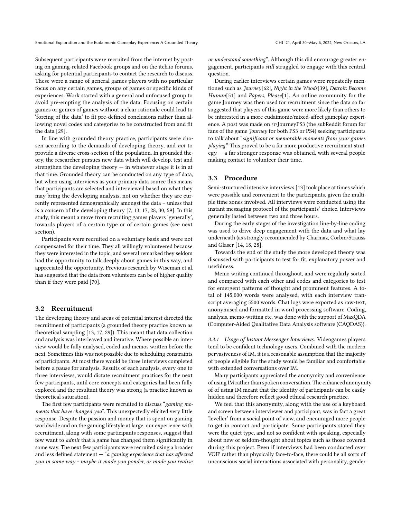Subsequent participants were recruited from the internet by posting on gaming-related Facebook groups and on the itch.io forums, asking for potential participants to contact the research to discuss. These were a range of general games players with no particular focus on any certain games, groups of games or specific kinds of experiences. Work started with a general and unfocused group to avoid pre-empting the analysis of the data. Focusing on certain games or genres of games without a clear rationale could lead to 'forcing of the data' to fit pre-defined conclusions rather than allowing novel codes and categories to be constructed from and fit the data [\[29\]](#page-12-30).

In line with grounded theory practice, participants were chosen according to the demands of developing theory, and not to provide a diverse cross-section of the population. In grounded theory, the researcher pursues new data which will develop, test and strengthen the developing theory  $-$  in whatever stage it is in at that time. Grounded theory can be conducted on any type of data, but when using interviews as your primary data source this means that participants are selected and interviewed based on what they may bring the developing analysis, not on whether they are currently represented demographically amongst the data – unless that is a concern of the developing theory [\[7,](#page-11-10) [13,](#page-11-8) [17,](#page-12-31) [28,](#page-12-29) [30,](#page-12-39) [59\]](#page-12-32). In this study, this meant a move from recruiting games players 'generally', towards players of a certain type or of certain games (see next section).

Participants were recruited on a voluntary basis and were not compensated for their time. They all willingly volunteered because they were interested in the topic, and several remarked they seldom had the opportunity to talk deeply about games in this way, and appreciated the opportunity. Previous research by Wiseman et al. has suggested that the data from volunteers can be of higher quality than if they were paid [\[70\]](#page-13-1).

#### 3.2 Recruitment

The developing theory and areas of potential interest directed the recruitment of participants (a grounded theory practice known as theoretical sampling [\[13,](#page-11-8) [17,](#page-12-31) [29\]](#page-12-30)). This meant that data collection and analysis was interleaved and iterative. Where possible an interview would be fully analysed, coded and memos written before the next. Sometimes this was not possible due to scheduling constraints of participants. At most there would be three interviews completed before a pause for analysis. Results of each analysis, every one to three interviews, would dictate recruitment practices for the next few participants, until core concepts and categories had been fully explored and the resultant theory was strong (a practice known as theoretical saturation).

The first few participants were recruited to discuss "gaming moments that have changed you". This unexpectedly elicited very little response. Despite the passion and money that is spent on gaming worldwide and on the gaming lifestyle at large, our experience with recruitment, along with some participants responses, suggest that few want to admit that a game has changed them significantly in some way. The next few participants were recruited using a broader and less defined statement  $-$  "a gaming experience that has affected you in some way - maybe it made you ponder, or made you realise

or understand something". Although this did encourage greater engagement, participants still struggled to engage with this central question.

During earlier interviews certain games were repeatedly mentioned such as  $\frac{7}{10}$  fourney[\[62\]](#page-12-38), Night in the Woods[\[39\]](#page-12-40), Detroit: Become Human<sup>[\[51\]](#page-12-41)</sup> and *Papers*, *Please*<sup>[\[1\]](#page-11-9)</sup>. An online community for the game Journey was then used for recruitment since the data so far suggested that players of this game were more likely than others to be interested in a more eudaimonic/mixed-affect gameplay experience. A post was made on /r/JourneyPS3 (the subReddit forum for fans of the game Journey for both PS3 or PS4) seeking participants to talk about "significant or memorable moments from your games playing." This proved to be a far more productive recruitment strategy — a far stronger response was obtained, with several people making contact to volunteer their time.

#### 3.3 Procedure

Semi-structured intensive interviews [\[13\]](#page-11-8) took place at times which were possible and convenient to the participants, given the multiple time zones involved. All interviews were conducted using the instant messaging protocol of the participants' choice. Interviews generally lasted between two and three hours.

During the early stages of the investigation line-by-line coding was used to drive deep engagement with the data and what lay underneath (as strongly recommended by Charmaz, Corbin/Strauss and Glaser [\[14,](#page-11-11) [18,](#page-12-42) [28\]](#page-12-29).

Towards the end of the study the more developed theory was discussed with participants to test for fit, explanatory power and usefulness.

Memo writing continued throughout, and were regularly sorted and compared with each other and codes and categories to test for emergent patterns of thought and prominent features. A total of 145,000 words were analysed, with each interview transcript averaging 5500 words. Chat logs were exported as raw-text, anonymised and formatted in word-processing software. Coding, analysis, memo-writing etc. was done with the support of MaxQDA (Computer-Aided Qualitative Data Analysis software (CAQDAS)).

3.3.1 Usage of Instant Messenger Interviews. Videogames players tend to be confident technology users. Combined with the modern pervasiveness of IM, it is a reasonable assumption that the majority of people eligible for the study would be familiar and comfortable with extended conversations over IM.

Many participants appreciated the anonymity and convenience of using IM rather than spoken conversation. The enhanced anonymity of of using IM meant that the identity of participants can be easily hidden and therefore reflect good ethical research practice.

We feel that this anonymity, along with the use of a keyboard and screen between interviewer and participant, was in fact a great 'leveller' from a social point of view, and encouraged more people to get in contact and participate. Some participants stated they were the quiet type, and not so confident with speaking, especially about new or seldom-thought about topics such as those covered during this project. Even if interviews had been conducted over VOIP rather than physically face-to-face, there could be all sorts of unconscious social interactions associated with personality, gender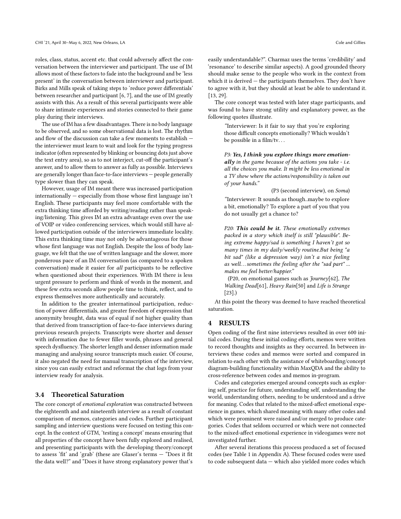roles, class, status, accent etc. that could adversely affect the conversation between the interviewer and participant. The use of IM allows most of these factors to fade into the background and be 'less present' in the conversation between interviewer and participant. Birks and Mills speak of taking steps to 'reduce power differentials' between researcher and participant [\[6,](#page-11-12) [7\]](#page-11-10), and the use of IM greatly assists with this. As a result of this several participants were able to share intimate experiences and stories connected to their game play during their interviews.

The use of IM has a few disadvantages. There is no body language to be observed, and so some observational data is lost. The rhythm and flow of the discussion can take a few moments to establish the interviewer must learn to wait and look for the typing progress indicator (often represented by blinking or bouncing dots just above the text entry area), so as to not interject, cut-off the participant's answer, and to allow them to answer as fully as possible. Interviews are generally longer than face-to-face interviews — people generally type slower than they can speak.

However, usage of IM meant there was increased participation internationally — especially from those whose first language isn't English. These participants may feel more comfortable with the extra thinking time afforded by writing/reading rather than speaking/listening. This gives IM an extra advantage even over the use of VOIP or video conferencing services, which would still have allowed participation outside of the interviewers immediate locality. This extra thinking time may not only be advantageous for those whose first language was not English. Despite the loss of body language, we felt that the use of written language and the slower, more ponderous pace of an IM conversation (as compared to a spoken conversation) made it easier for all participants to be reflective when questioned about their experiences. With IM there is less urgent pressure to perform and think of words in the moment, and these few extra seconds allow people time to think, reflect, and to express themselves more authentically and accurately.

In addition to the greater internatinoal participation, reduction of power differentials, and greater freedom of expression that anonymity brought, data was of equal if not higher quality than that derived from transcription of face-to-face interviews during previous research projects. Transcripts were shorter and denser with information due to fewer filler words, phrases and general speech dysfluency. The shorter length and denser information made managing and analysing source transcripts much easier. Of course, it also negated the need for manual transcription of the interview, since you can easily extract and reformat the chat logs from your interview ready for analysis.

# <span id="page-6-0"></span>3.4 Theoretical Saturation

The core concept of emotional exploration was constructed between the eighteenth and and nineteenth interview as a result of constant comparison of memos, categories and codes. Further participant sampling and interview questions were focused on testing this concept. In the context of GTM, 'testing a concept' means ensuring that all properties of the concept have been fully explored and realised, and presenting participants with the developing theory/concept to assess 'fit' and 'grab' (these are Glaser's terms — "Does it fit the data well?" and "Does it have strong explanatory power that's

easily understandable?". Charmaz uses the terms 'credibility' and 'resonance' to describe similar aspects). A good grounded theory should make sense to the people who work in the context from which it is derived — the participants themselves. They don't have to agree with it, but they should at least be able to understand it. [\[13,](#page-11-8) [29\]](#page-12-30).

The core concept was tested with later stage participants, and was found to have strong utility and explanatory power, as the following quotes illustrate.

> "Interviewer: Is it fair to say that you're exploring those difficult concepts emotionally? Which wouldn't be possible in a film/tv. . .

> P3: Yes, I think you explore things more emotionally in the game because of the actions you take - i.e. all the choices you make. It might be less emotional in a TV show where the actions/responsibility is taken out of your hands."

> > (P3 (second interview), on Soma)

"Interviewer: It sounds as though..maybe to explore a bit, emotionally? To explore a part of you that you do not usually get a chance to?

P20: This could be it. These emotionally extremes packed in a story which itself is still "plausible". Being extreme happy/sad is something I haven't got so many times in my daily/weekly routine.But being "a bit sad" (like a depression way) isn't a nice feeling as well. . . sometimes the feeling after the "sad part" ... makes me feel better/happier."

(P20, on emotional games such as Journey[\[62\]](#page-12-38), The Walking Dead[\[61\]](#page-12-43), Heavy Rain[\[50\]](#page-12-44) and Life is Strange [\[23\]](#page-12-45).)

At this point the theory was deemed to have reached theoretical saturation.

#### 4 RESULTS

Open coding of the first nine interviews resulted in over 600 initial codes. During these initial coding efforts, memos were written to record thoughts and insights as they occurred. In between interviews these codes and memos were sorted and compared in relation to each other with the assistance of whiteboarding/concept diagram-building functionality within MaxQDA and the ability to cross-reference between codes and memos in-program.

Codes and categories emerged around concepts such as exploring self, practice for future, understanding self, understanding the world, understanding others, needing to be understood and a drive for meaning. Codes that related to the mixed-affect emotional experience in games, which shared meaning with many other codes and which were prominent were raised and/or merged to produce categories. Codes that seldom occurred or which were not connected to the mixed-affect emotional experience in videogames were not investigated further.

After several iterations this process produced a set of focused codes (see Table 1 in Appendix [A\)](#page-14-0). These focused codes were used to code subsequent data — which also yielded more codes which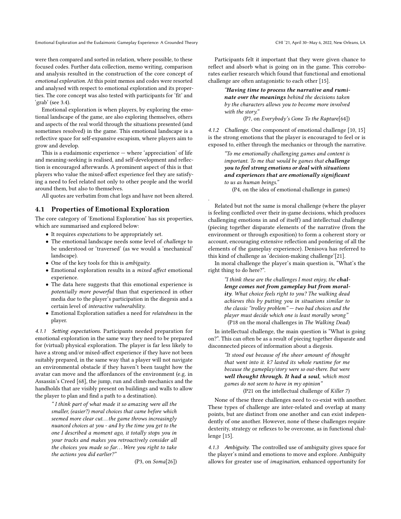were then compared and sorted in relation, where possible, to these focused codes. Further data collection, memo writing, comparison and analysis resulted in the construction of the core concept of emotional exploration. At this point memos and codes were resorted and analysed with respect to emotional exploration and its properties. The core concept was also tested with participants for 'fit' and 'grab' (see [3.4\)](#page-6-0).

Emotional exploration is when players, by exploring the emotional landscape of the game, are also exploring themselves, others and aspects of the real world through the situations presented (and sometimes resolved) in the game. This emotional landscape is a reflective space for self-expansive escapism, where players aim to grow and develop.

This is a eudaimonic experience — where 'appreciation' of life and meaning-seeking is realised, and self-development and reflection is encouraged afterwards. A prominent aspect of this is that players who value the mixed-affect experience feel they are satisfying a need to feel related not only to other people and the world around them, but also to themselves.

All quotes are verbatim from chat logs and have not been altered.

#### 4.1 Properties of Emotional Exploration

The core category of 'Emotional Exploration' has six properties, which are summarised and explored below:

- It requires expectations to be appropriately set.
- The emotional landscape needs some level of challenge to be understood or 'traversed' (as we would a 'mechanical' landscape).
- One of the key tools for this is ambiguity.
- Emotional exploration results in a mixed affect emotional experience.
- The data here suggests that this emotional experience is potentially more powerful than that experienced in other media due to the player's participation in the diegesis and a certain level of interactive vulnerability.
- Emotional Exploration satisfies a need for relatedness in the player.

4.1.1 Setting expectations. Participants needed preparation for emotional exploration in the same way they need to be prepared for (virtual) physical exploration. The player is far less likely to have a strong and/or mixed-affect experience if they have not been suitably prepared, in the same way that a player will not navigate an environmental obstacle if they haven't been taught how the avatar can move and the affordances of the environment (e.g. in Assassin's Creed [\[68\]](#page-12-46), the jump, run and climb mechanics and the handholds that are visibly present on buildings and walls to allow the player to plan and find a path to a destination).

" I think part of what made it so amazing were all the smaller, (easier?) moral choices that came before which seemed more clear cut. . . the game throws increasingly nuanced choices at you - and by the time you get to the one I described a moment ago, it totally stops you in your tracks and makes you retroactively consider all the choices you made so far... Were you right to take the actions you did earlier?"

(P3, on Soma[\[26\]](#page-12-47))

Participants felt it important that they were given chance to reflect and absorb what is going on in the game. This corroborates earlier research which found that functional and emotional challenge are often antagonistic to each other [\[15\]](#page-11-2).

> "Having time to process the narrative and ruminate over the meanings behind the decisions taken by the characters allows you to become more involved with the story."

> > (P7, on Everybody's Gone To the Rapture[\[64\]](#page-12-37))

4.1.2 Challenge. One component of emotional challenge [\[10,](#page-11-1) [15\]](#page-11-2) is the strong emotions that the player is encouraged to feel or is exposed to, either through the mechanics or through the narrative.

> "To me emotionally challenging games and content is important. To me that would be games that challenge you to feel strong emotions or deal with situations and experiences that are emotionally significant to us as human beings."

(P4, on the idea of emotional challenge in games)

.

Related but not the same is moral challenge (where the player is feeling conflicted over their in-game decisions, which produces challenging emotions in and of itself) and intellectual challenge (piecing together disparate elements of the narrative (from the environment or through exposition) to form a coherent story or account, encouraging extensive reflection and pondering of all the elements of the gameplay experience). Denisova has referred to this kind of challenge as 'decision-making challenge'[\[21\]](#page-12-3).

In moral challenge the player's main question is, "What's the right thing to do here?".

> "I think these are the challenges I most enjoy, the challenge comes not from gameplay but from morality. What choice feels right to you? The walking dead achieves this by putting you in situations similar to the classic "trolley problem" — two bad choices and the player must decide which one is least morally wrong" (P18 on the moral challenges in The Walking Dead)

In intellectual challenge, the main question is "What is going on?". This can often be as a result of piecing together disparate and disconnected pieces of information about a diegesis.

> "It stood out because of the sheer amount of thought that went into it. k7 lasted its whole runtime for me because the gameplay/story were so out-there. But were well thought through. It had a soul, which most games do not seem to have in my opinion" (P21 on the intellectual challenge of Killer 7)

None of these three challenges need to co-exist with another. These types of challenge are inter-related and overlap at many points, but are distinct from one another and can exist independently of one another. However, none of these challenges require dexterity, strategy or reflexes to be overcome, as in functional challenge [\[15\]](#page-11-2).

4.1.3 Ambiguity. The controlled use of ambiguity gives space for the player's mind and emotions to move and explore. Ambiguity allows for greater use of imagination, enhanced opportunity for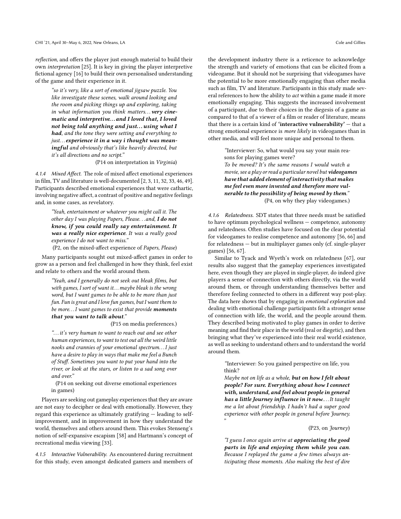reflection, and offers the player just enough material to build their own interpretation [\[25\]](#page-12-48). It is key in giving the player interpretive fictional agency [\[16\]](#page-12-14) to build their own personalised understanding of the game and their experience in it.

"so it's very, like a sort of emotional jigsaw puzzle. You like investigate these scenes, walk around looking and the room and picking things up and exploring, taking in what information you think matters... very cinematic and interpretive. . . and I loved that, I loved not being told anything and just... using what I had, and the tone they were setting and everything to just... experience it in a way i thought was meaningful and obviously that's like heavily directed, but it's all directions and no script."

(P14 on interpretation in Virginia)

4.1.4 Mixed Affect. The role of mixed affect emotional experiences in film, TV and literature is well-documented [\[2,](#page-11-4) [3,](#page-11-3) [11,](#page-11-13) [32,](#page-12-49) [33,](#page-12-5) [46,](#page-12-7) [49\]](#page-12-50). Participants described emotional experiences that were cathartic, involving negative affect, a contrast of positive and negative feelings and, in some cases, as revelatory.

"Yeah, entertainment or whatever you might call it. The other day I was playing Papers, Please. . .and, I do not know, if you could really say entertainment. It was a really nice experience. It was a really good experience I do not want to miss."

(P2, on the mixed-affect experience of Papers, Please)

Many participants sought out mixed-affect games in order to grow as a person and feel challenged in how they think, feel exist and relate to others and the world around them.

"Yeah, and I generally do not seek out bleak films, but with games, I sort of want it... maybe bleak is the wrong word, but I want games to be able to be more than just fun. Fun is great and I love fun games, but I want them to be more...I want games to exist that provide moments that you want to talk about."

(P15 on media preferences.)

". . .it's very human to want to reach out and see other human experiences, to want to test out all the weird little nooks and crannies of your emotional spectrum. . .I just have a desire to play in ways that make me feel a Bunch of Stuff. Sometimes you want to put your hand into the river, or look at the stars, or listen to a sad song over and over."

(P14 on seeking out diverse emotional experiences in games)

Players are seeking out gameplay experiences that they are aware are not easy to decipher or deal with emotionally. However, they regard this experience as ultimately gratifying — leading to selfimprovement, and in improvement in how they understand the world, themselves and others around them. This evokes Stenseng's notion of self-expansive escapism [\[58\]](#page-12-26) and Hartmann's concept of recreational media viewing [\[33\]](#page-12-5).

4.1.5 Interactive Vulnerability. As encountered during recruitment for this study, even amongst dedicated gamers and members of the development industry there is a reticence to acknowledge the strength and variety of emotions that can be elicited from a videogame. But it should not be surprising that videogames have the potential to be more emotionally engaging than other media such as film, TV and literature. Participants in this study made several references to how the ability to act within a game made it more emotionally engaging. This suggests the increased involvement of a participant, due to their choices in the diegesis of a game as compared to that of a viewer of a film or reader of literature, means that there is a certain kind of **'interactive vulnerability'**  $-$  that a strong emotional experience is *more likely* in videogames than in other media, and will feel more unique and personal to them.

> "Interviewer: So, what would you say your main reasons for playing games were?

To be moved? It's the same reasons I would watch a movie, see a play or read a particular novel but videogames have that added element of interactivity that makes me feel even more invested and therefore more vulnerable to the possibility of being moved by them." (P4, on why they play videogames.)

4.1.6 Relatedness. SDT states that three needs must be satisfied to have optimum psychological wellness — competence, autonomy and relatedness. Often studies have focused on the clear potential for videogames to realise competence and autonomy [\[56,](#page-12-21) [66\]](#page-12-19) and for relatedness — but in multiplayer games only (cf. single-player games) [\[56,](#page-12-21) [67\]](#page-12-23).

Similar to Tyack and Wyeth's work on relatedness [\[67\]](#page-12-23), our results also suggest that the gameplay experiences investigated here, even though they are played in single-player, do indeed give players a sense of connection with others directly, via the world around them, or through understanding themselves better and therefore feeling connected to others in a different way post-play. The data here shows that by engaging in emotional exploration and dealing with emotional challenge participants felt a stronger sense of connection with life, the world, and the people around them. They described being motivated to play games in order to derive meaning and find their place in the world (real or diegetic), and then bringing what they've experienced into their real world existence, as well as seeking to understand others and to understand the world around them.

> "Interviewer: So you gained perspective on life, you think?

> Maybe not on life as a whole, but on how I felt about people? For sure. Everything about how I connect with, understand, and feel about people in general has a little Journey influence in it now.... It taught me a lot about friendship. I hadn't had a super good experience with other people in general before Journey. "

> > (P23, on Journey)

"I guess I once again arrive at appreciating the good parts in life and enjoying them while you can. Because I replayed the game a few times always anticipating those moments. Also making the best of dire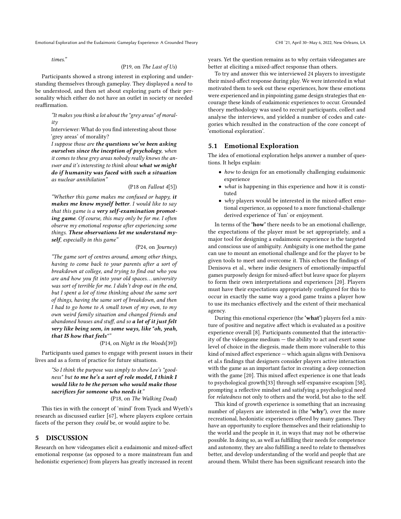times."

#### (P19, on The Last of Us)

Participants showed a strong interest in exploring and understanding themselves through gameplay. They displayed a need to be understood, and then set about exploring parts of their personality which either do not have an outlet in society or needed reaffirmation.

"It makes you think a lot about the "grey areas" of morality

Interviewer: What do you find interesting about those 'grey areas' of morality?

I suppose those are the questions we've been asking ourselves since the inception of psychology, when it comes to these grey areas nobody really knows the answer and it's interesting to think about what we might do if humanity was faced with such a situation as nuclear annihilation"

#### (P18 on Fallout 4[\[5\]](#page-11-14))

"Whether this game makes me confused or happy, it makes me know myself better. I would like to say that this game is a very self-examination promoting game. Of course, this may only be for me. I often observe my emotional response after experiencing some things. These observations let me understand myself, especially in this game"

#### (P24, on Journey)

"The game sort of centres around, among other things, having to come back to your parents after a sort of breakdown at college, and trying to find out who you are and how you fit into your old spaces... university was sort of terrible for me. I didn't drop out in the end, but I spent a lot of time thinking about the same sort of things, having the same sort of breakdown, and then I had to go home to A small town of  $m\gamma$  own, to  $m\gamma$ own weird family situation and changed friends and abandoned houses and stuff, and so a lot of it just felt very like being seen, in some ways, like "oh, yeah, that IS how that feels""

(P14, on Night in the Woods[\[39\]](#page-12-40))

Participants used games to engage with present issues in their lives and as a form of practice for future situations.

"So I think the purpose was simply to show Lee's "goodness" but to me he's a sort of role model, I think I would like to be the person who would make those sacrifices for someone who needs it." (P18, on The Walking Dead)

This ties in with the concept of 'mind' from Tyack and Wyeth's research as discussed earlier [\[67\]](#page-12-23), where players explore certain

facets of the person they could be, or would aspire to be.

#### 5 DISCUSSION

Research on how videogames elicit a eudaimonic and mixed-affect emotional response (as opposed to a more mainstream fun and hedonistic experience) from players has greatly increased in recent years. Yet the question remains as to why certain videogames are better at eliciting a mixed-affect response than others.

To try and answer this we interviewed 24 players to investigate their mixed-affect response during play. We were interested in what motivated them to seek out these experiences, how these emotions were experienced and in pinpointing game design strategies that encourage these kinds of eudaimonic experiences to occur. Grounded theory methodology was used to recruit participants, collect and analyse the interviews, and yielded a number of codes and categories which resulted in the construction of the core concept of 'emotional exploration'.

#### 5.1 Emotional Exploration

The idea of emotional exploration helps answer a number of questions. It helps explain:

- how to design for an emotionally challenging eudaimonic experience
- what is happening in this experience and how it is constituted
- why players would be interested in the mixed-affect emotional experience, as opposed to a more functional-challenge derived experience of 'fun' or enjoyment.

In terms of the 'how' there needs to be an emotional challenge, the expectations of the player must be set appropriately, and a major tool for designing a eudaimonic experience is the targeted and conscious use of ambiguity. Ambiguity is one method the game can use to mount an emotional challenge and for the player to be given tools to meet and overcome it. This echoes the findings of Denisova et al., where indie designers of emotionally-impactful games purposely design for mixed-affect but leave space for players to form their own interpretations and experiences [\[20\]](#page-12-17). Players must have their expectations appropriately configured for this to occur in exactly the same way a good game trains a player how to use its mechanics effectively and the extent of their mechanical agency.

During this emotional experience (the 'what') players feel a mixture of positive and negative affect which is evaluated as a positive experience overall [\[8\]](#page-11-0). Participants commented that the interactivity of the videogame medium — the ability to act and exert some level of choice in the diegesis, made them more vulnerable to this kind of mixed affect experience — which again aligns with Denisova et al.s findings that designers consider players active interaction with the game as an important factor in creating a deep connection with the game [\[20\]](#page-12-17). This mixed affect experience is one that leads to psychological growth[\[33\]](#page-12-5) through self-expansive escapism [\[58\]](#page-12-26), prompting a reflective mindset and satisfying a psychological need for relatedness not only to others and the world, but also to the self.

This kind of growth experience is something that an increasing number of players are interested in (the 'why'), over the more recreational, hedonistic experiences offered by many games. They have an opportunity to explore themselves and their relationship to the world and the people in it, in ways that may not be otherwise possible. In doing so, as well as fulfilling their needs for competence and autonomy, they are also fulfilling a need to relate to themselves better, and develop understanding of the world and people that are around them. Whilst there has been significant research into the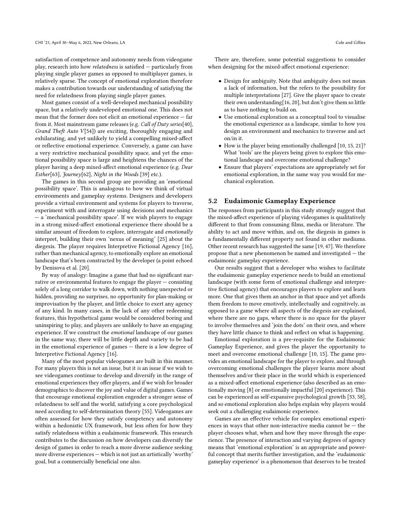satisfaction of competence and autonomy needs from videogame play, research into how relatedness is satisfied — particularly from playing single player games as opposed to multiplayer games, is relatively sparse. The concept of emotional exploration therefore makes a contribution towards our understanding of satisfying the need for relatedness from playing single player games.

Most games consist of a well-developed mechanical possibility space, but a relatively undeveloped emotional one. This does not mean that the former does not elicit an emotional experience — far from it. Most mainstream game releases (e.g. Call of Duty series[\[40\]](#page-12-34), Grand Theft Auto  $V[54]$  $V[54]$  are exciting, thoroughly engaging and exhilarating, and yet unlikely to yield a compelling mixed-affect or reflective emotional experience. Conversely, a game can have a very restrictive mechanical possibility space, and yet the emotional possibility space is large and heightens the chances of the player having a deep mixed-affect emotional experience (e.g. Dear Esther[\[63\]](#page-12-51), Journey[\[62\]](#page-12-38), Night in the Woods [\[39\]](#page-12-40) etc.).

The games in this second group are providing an 'emotional possibility space'. This is analogous to how we think of virtual environments and gameplay systems. Designers and developers provide a virtual environment and systems for players to traverse, experiment with and interrogate using decisions and mechanics — a 'mechanical possibility space'. If we wish players to engage in a strong mixed-affect emotional experience there should be a similar amount of freedom to explore, interrogate and emotionally interpret, building their own 'nexus of meaning' [\[25\]](#page-12-48) about the diegesis. The player requires Interpretive Fictional Agency [\[16\]](#page-12-14), rather than mechanical agency, to emotionally explore an emotional landscape that's been constructed by the developer (a point echoed by Denisova et al. [\[20\]](#page-12-17).

By way of analogy: Imagine a game that had no significant narrative or environmental features to engage the player — consisting solely of a long corridor to walk down, with nothing unexpected or hidden, providing no surprises, no opportunity for plan-making or improvisation by the player, and little choice to exert any agency of any kind. In many cases, in the lack of any other redeeming features, this hypothetical game would be considered boring and uninspiring to play, and players are unlikely to have an engaging experience. If we construct the emotional landscape of our games in the same way, there will be little depth and variety to be had in the emotional experience of games — there is a low degree of Interpretive Fictional Agency [\[16\]](#page-12-14).

Many of the most popular videogames are built in this manner. For many players this is not an issue, but it is an issue if we wish to see videogames continue to develop and diversify in the range of emotional experiences they offer players, and if we wish for broader demographics to discover the joy and value of digital games. Games that encourage emotional exploration engender a stronger sense of relatedness to self and the world, satisfying a core psychological need according to self-determination theory [\[55\]](#page-12-20). Videogames are often assessed for how they satisfy competency and autonomy within a hedonistic UX framework, but less often for how they satisfy relatedness within a eudaimonic framework. This research contributes to the discussion on how developers can diversify the design of games in order to reach a more diverse audience seeking more diverse experiences — which is not just an artistically 'worthy' goal, but a commercially beneficial one also.

There are, therefore, some potential suggestions to consider when designing for the mixed-affect emotional experience:

- Design for ambiguity. Note that ambiguity does not mean a lack of information, but the refers to the possibility for multiple interpretations [\[27\]](#page-12-52). Give the player space to create their own understanding[\[16,](#page-12-14) [20\]](#page-12-17), but don't give them so little as to have nothing to build on.
- Use emotional exploration as a conceptual tool to visualise the emotional experience as a landscape, similar to how you design an environment and mechanics to traverse and act on/in it.
- How is the player being emotionally challenged [\[10,](#page-11-1) [15,](#page-11-2) [21\]](#page-12-3)? What 'tools' are the players being given to explore this emotional landscape and overcome emotional challenge?
- Ensure that players' expectations are appropriately set for emotional exploration, in the same way you would for mechanical exploration.

#### 5.2 Eudaimonic Gameplay Experience

The responses from participants in this study strongly suggest that the mixed-affect experience of playing videogames is qualitatively different to that from consuming films, media or literature. The ability to act and move within, and on, the diegesis in games is a fundamentally different property not found in other mediums. Other recent research has suggested the same [\[19,](#page-12-15) [47\]](#page-12-2). We therefore propose that a new phenomenon be named and investigated — the eudaimonic gameplay experience.

Our results suggest that a developer who wishes to facilitate the eudaimonic gameplay experience needs to build an emotional landscape (with some form of emotional challenge and interpretive fictional agency) that encourages players to explore and learn more. One that gives them an anchor in that space and yet affords them freedom to move emotively, intellectually and cognitively, as opposed to a game where all aspects of the diegesis are explained, where there are no gaps, where there is no space for the player to involve themselves and 'join the dots' on their own, and where they have little chance to think and reflect on what is happening.

Emotional exploration is a pre-requisite for the Eudaimonic Gameplay Experience, and gives the player the opportunity to meet and overcome emotional challenge [\[10,](#page-11-1) [15\]](#page-11-2). The game provides an emotional landscape for the player to explore, and through overcoming emotional challenges the player learns more about themselves and/or their place in the world which is experienced as a mixed-affect emotional experience (also described as an emotionally moving [\[8\]](#page-11-0) or emotionally impactful [\[20\]](#page-12-17) experience). This can be experienced as self-expansive psychological growth [\[33,](#page-12-5) [58\]](#page-12-26), and so emotional exploration also helps explain why players would seek out a challenging eudaimonic experience.

Games are an effective vehicle for complex emotional experiences in ways that other non-interactive media cannot be  $-$  the player chooses what, when and how they move through the experience. The presence of interaction and varying degrees of agency means that 'emotional exploration' is an appropriate and powerful concept that merits further investigation, and the 'eudaimonic gameplay experience' is a phenomenon that deserves to be treated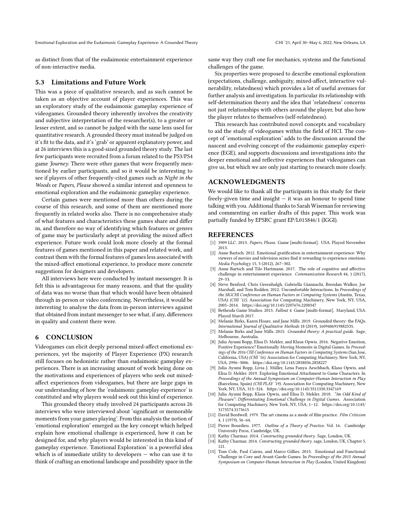as distinct from that of the eudaimonic entertainment experience of non-interactive media.

#### 5.3 Limitations and Future Work

This was a piece of qualitative research, and as such cannot be taken as an objective account of player experiences. This was an exploratory study of the eudaimonic gameplay experience of videogames. Grounded theory inherently involves the creativity and subjective interpretation of the researcher(s), to a greater or lesser extent, and so cannot be judged with the same lens used for quantitative research. A grounded theory must instead be judged on it's fit to the data, and it's 'grab' or apparent explanatory power, and at 26 interviews this is a good-sized grounded theory study. The last few participants were recruited from a forum related to the PS3/PS4 game Journey. There were other games that were frequently mentioned by earlier participants, and so it would be interesting to see if players of other frequently-cited games such as Night in the Woods or Papers, Please showed a similar interest and openness to emotional exploration and the eudaimonic gameplay experience.

Certain games were mentioned more than others during the course of this research, and some of them are mentioned more frequently in related works also. There is no comprehensive study of what features and characteristics these games share and differ in, and therefore no way of identifying which features or genres of game may be particularly adept at providing the mixed affect experience. Future work could look more closely at the formal features of games mentioned in this paper and related work, and contrast them with the formal features of games less associated with the mixed-affect emotional experience, to produce more concrete suggestions for designers and developers.

All interviews here were conducted by instant messenger. It is felt this is advantageous for many reasons, and that the quality of data was no worse than that which would have been obtained through in-person or video conferencing. Nevertheless, it would be interesting to analyse the data from in-person interviews against that obtained from instant messenger to see what, if any, differences in quality and content there were.

#### 6 CONCLUSION

Videogames can elicit deeply personal mixed-affect emotional experiences, yet the majority of Player Experience (PX) research still focuses on hedonistic rather than eudaimonic gameplay experiences. There is an increasing amount of work being done on the motivations and experiences of players who seek out mixedaffect experiences from videogames, but there are large gaps in our understanding of how the 'eudaimonic gameplay experience' is constituted and why players would seek out this kind of experience.

This grounded theory study involved 24 participants across 26 interviews who were interviewed about 'significant or memorable moments from your games playing'. From this analysis the notion of 'emotional exploration' emerged as the key concept which helped explain how emotional challenge is experienced, how it can be designed for, and why players would be interested in this kind of gameplay experience. 'Emotional Exploration' is a powerful idea which is of immediate utility to developers — who can use it to think of crafting an emotional landscape and possibility space in the

same way they craft one for mechanics, systems and the functional challenges of the game.

Six properties were proposed to describe emotional exploration (expectations, challenge, ambiguity, mixed-affect, interactive vulnerability, relatedness) which provides a lot of useful avenues for further analysis and investigation. In particular its relationship with self-determination theory and the idea that 'relatedness' concerns not just relationships with others around the player, but also how the player relates to themselves (self-relatedness).

This research has contributed novel concepts and vocabulary to aid the study of videogames within the field of HCI. The concept of 'emotional exploration' adds to the discussion around the nascent and evolving concept of the eudaimonic gameplay experience (EGE), and supports discussions and investigations into the deeper emotional and reflective experiences that videogames can give us, but which we are only just starting to research more closely.

#### ACKNOWLEDGMENTS

We would like to thank all the participants in this study for their freely-given time and insight — it was an honour to spend time talking with you. Additional thanks to Sarah Wiseman for reviewing and commenting on earlier drafts of this paper. This work was partially funded by EPSRC grant EP/L015846/1 (IGGI).

#### REFERENCES

- <span id="page-11-9"></span>[1] 3909 LLC. 2013. Papers, Please. Game [multi-format]. USA. Played November 2013.
- <span id="page-11-4"></span>[2] Anne Bartsch. 2012. Emotional gratification in entertainment experience: Why viewers of movies and television series find it rewarding to experience emotions. Media Psychology 15, 3 (2012), 267–302.
- <span id="page-11-3"></span>[3] Anne Bartsch and Tilo Hartmann. 2017. The role of cognitive and affective challenge in entertainment experience. Communication Research 44, 1 (2017), 29–53.
- <span id="page-11-5"></span>[4] Steve Benford, Chris Greenhalgh, Gabriella Giannachi, Brendan Walker, Joe Marshall, and Tom Rodden. 2012. Uncomfortable Interactions. In Proceedings of the SIGCHI Conference on Human Factors in Computing Systems (Austin, Texas, USA) (CHI '12). Association for Computing Machinery, New York, NY, USA, 2005–2014.<https://doi.org/10.1145/2207676.2208347>
- <span id="page-11-14"></span>[5] Bethesda Game Studios. 2015. Fallout 4. Game [multi-format]. Maryland, USA. Played March 2017.
- <span id="page-11-12"></span>[6] Melanie Birks, Karen Hoare, and Jane Mills. 2019. Grounded theory: the FAQs. International Journal of Qualitative Methods 18 (2019), 1609406919882535.
- <span id="page-11-10"></span>[7] Melanie Birks and Jane Mills. 2015. Grounded theory: A practical guide. Sage, Melbourne, Australia.
- <span id="page-11-0"></span>Julia Ayumi Bopp, Elisa D. Mekler, and Klaus Opwis. 2016. Negative Emotion, Positive Experience? Emotionally Moving Moments in Digital Games. In Proceedings of the 2016 CHI Conference on Human Factors in Computing Systems (San Jose, California, USA) (CHI '16). Association for Computing Machinery, New York, NY, USA, 2996–3006.<https://doi.org/10.1145/2858036.2858227>
- <span id="page-11-6"></span>[9] Julia Ayumi Bopp, Livia J. Müller, Lena Fanya Aeschbach, Klaus Opwis, and Elisa D. Mekler. 2019. Exploring Emotional Attachment to Game Characters. In Proceedings of the Annual Symposium on Computer-Human Interaction in Play (Barcelona, Spain) (CHI PLAY '19). Association for Computing Machinery, New York, NY, USA, 313–324.<https://doi.org/10.1145/3311350.3347169>
- <span id="page-11-1"></span>[10] Julia Ayumi Bopp, Klaus Opwis, and Elisa D. Mekler. 2018. "An Odd Kind of Pleasure": Differentiating Emotional Challenge in Digital Games. Association for Computing Machinery, New York, NY, USA, 1–12. [https://doi.org/10.1145/](https://doi.org/10.1145/3173574.3173615) [3173574.3173615](https://doi.org/10.1145/3173574.3173615)
- <span id="page-11-13"></span>[11] David Bordwell. 1979. The art cinema as a mode of film practice. Film Criticism 4, 1 (1979), 56–64.
- <span id="page-11-7"></span>[12] Pierre Bourdieu. 1977. Outline of a Theory of Practice. Vol. 16. Cambridge University Press, Cambridge, UK.
- <span id="page-11-8"></span>[13] Kathy Charmaz. 2014. Constructing grounded theory. Sage, London, UK.
- <span id="page-11-11"></span>[14] Kathy Charmaz. 2014. Constructing grounded theory. sage, London, UK, Chapter 5, 121.
- <span id="page-11-2"></span>[15] Tom Cole, Paul Cairns, and Marco Gillies. 2015. Emotional and Functional Challenge in Core and Avant-Garde Games. In Proceedings of the 2015 Annual Symposium on Computer-Human Interaction in Play (London, United Kingdom)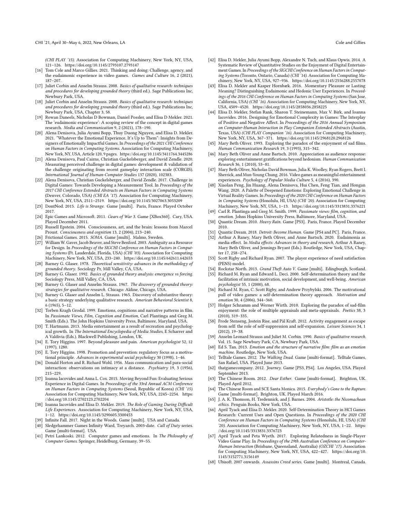(CHI PLAY '15). Association for Computing Machinery, New York, NY, USA, 121–126.<https://doi.org/10.1145/2793107.2793147>

- <span id="page-12-14"></span>[16] Tom Cole and Marco Gillies. 2021. Thinking and doing: Challenge, agency, and the eudaimonic experience in video games. Games and Culture 16, 2 (2021), 187–207.
- <span id="page-12-31"></span>[17] Juliet Corbin and Anselm Strauss. 2008. Basics of qualitative research: techniques and procedures for developing grounded theory (third ed.). Sage Publications Inc, Newbury Park, USA.
- <span id="page-12-42"></span>[18] Juliet Corbin and Anselm Strauss. 2008. Basics of qualitative research: techniques and procedures for developing grounded theory (third ed.). Sage Publications Inc, Newbury Park, USA, Chapter 3, 58.
- <span id="page-12-15"></span>[19] Rowan Daneels, Nicholas D Bowman, Daniel Possler, and Elisa D Mekler. 2021. The 'eudaimonic experience': A scoping review of the concept in digital games research. Media and Communication 9, 2 (2021), 178–190.
- <span id="page-12-17"></span>[20] Alena Denisova, Julia Ayumi Bopp, Thuy Duong Nguyen, and Elisa D. Mekler. 2021. "Whatever the Emotional Experience, It's Up to Them": Insights from Designers of Emotionally Impactful Games. In Proceedings of the 2021 CHI Conference on Human Factors in Computing Systems. Association for Computing Machinery, New York, NY, USA, Article 120, 9 pages.<https://doi.org/10.1145/3411764.3445286>
- <span id="page-12-3"></span>[21] Alena Denisova, Paul Cairns, Christian Guckelsberger, and David Zendle. 2020. Measuring perceived challenge in digital games: development & validation of the challenge originating from recent gameplay interaction scale (CORGIS). International Journal of Human-Computer Studies 137 (2020), 102383.
- <span id="page-12-12"></span>[22] Alena Denisova, Christian Guckelsberger, and David Zendle. 2017. Challenge in Digital Games: Towards Developing a Measurement Tool. In Proceedings of the 2017 CHI Conference Extended Abstracts on Human Factors in Computing Systems (Denver, Colorado, USA) (CHI EA '17). Association for Computing Machinery, New York, NY, USA, 2511–2519.<https://doi.org/10.1145/3027063.3053209>
- <span id="page-12-45"></span>[23] DontNod. 2015. Life is Strange. Game [multi]. Paris, France. Played October 2017.
- <span id="page-12-35"></span>[24] Epic Games and Microsoft. 2011. Gears of War 3. Game [XBox360]. Cary, USA. Played December 2011.
- <span id="page-12-48"></span>[25] Russell Epstein, 2004. Consciousness, art, and the brain: lessons from Marcel Proust. Consciousness and cognition 13, 2 (2004), 213–240.
- <span id="page-12-47"></span>[26] Frictional Games. 2015. SOMA. Game [multi]. Malmo, Sweden.
- <span id="page-12-52"></span>[27] William W. Gaver, Jacob Beaver, and Steve Benford. 2003. Ambiguity as a Resource for Design. In Proceedings of the SIGCHI Conference on Human Factors in Computing Systems (Ft. Lauderdale, Florida, USA) (CHI '03). Association for Computing Machinery, New York, NY, USA, 233–240.<https://doi.org/10.1145/642611.642653>
- <span id="page-12-29"></span>[28] Barney G. Glaser. 1978. Theoretical sensitivity: advances in the methodology of grounded theory. Sociology Pr, Mill Valley, CA, USA.
- <span id="page-12-30"></span>[29] Barney G. Glaser. 1992. Basics of grounded theory analysis: emergence vs forcing. Sociology Press, Mill Valley, CA, USA.
- <span id="page-12-39"></span>[30] Barney G. Glaser and Anselm Strauss. 1967. The discovery of grounded theory: strategies for qualitative research. Chicago: Aldine, Chicago, USA.
- <span id="page-12-33"></span>[31] Barney G. Glaser and Anselm L. Strauss. 1965. Discovery of substantive theory: a basic strategy underlying qualitative research. American Behavioral Scientist 8, 6 (1965), 5–12.
- <span id="page-12-49"></span>[32] Torben Kragh Grodal. 1999. Emotions, cognitions and narrative patterns in film. In Passionate Views, Film, Cognition and Emotion, Carl Plantinga and Greg M. Smith (Eds.). The John Hopkins University Press, Baltimore, Maryland, USA.
- <span id="page-12-5"></span>[33] T. Hartmann. 2013. Media entertainment as a result of recreation and psychological growth. In The International Encyclopedia of Media Studies, E Scharrer and A Valdivia (Eds.). Blackwell Publishing, London, UK.
- <span id="page-12-27"></span>[34] E. Tory Higgins. 1997. Beyond pleasure and pain. American psychologist 52, 12 (1997), 1280.
- <span id="page-12-28"></span>[35] E. Tory Higgins. 1998. Promotion and prevention: regulatory focus as a motivational principle. Advances in experimental social psychology 30 (1998), 1–46.
- <span id="page-12-25"></span>[36] Donald Horton and R. Richard Wohl. 1956. Mass communication and para-social interaction: observations on intimacy at a distance. Psychiatry 19, 3 (1956), 215–229.
- <span id="page-12-13"></span>[37] Ioanna Iacovides and Anna L. Cox. 2015. Moving Beyond Fun: Evaluating Serious Experience in Digital Games. In Proceedings of the 33rd Annual ACM Conference on Human Factors in Computing Systems (Seoul, Republic of Korea) (CHI '15). Association for Computing Machinery, New York, NY, USA, 2245–2254. [https:](https://doi.org/10.1145/2702123.2702204) [//doi.org/10.1145/2702123.2702204](https://doi.org/10.1145/2702123.2702204)
- <span id="page-12-22"></span>[38] Ioanna Iacovides and Elisa D. Mekler. 2019. The Role of Gaming During Difficult Life Experiences. Association for Computing Machinery, New York, NY, USA, 1–12.<https://doi.org/10.1145/3290605.3300453>
- <span id="page-12-40"></span>[39] Infinite Fall. 2017. Night in the Woods. Game [multi]. USA and Canada.
- <span id="page-12-34"></span>[40] Sledgehammer Games Infinity Ward, Treyarch. 2003-date. Call of Duty series. Game [multi-format]. USA.
- <span id="page-12-18"></span>[41] Petri Lankoski. 2012. Computer games and emotions. In The Philosophy of Computer Games. Springer, Heidelburg, Germany, 39–55.
- <span id="page-12-8"></span>[42] Elisa D. Mekler, Julia Ayumi Bopp, Alexandre N. Tuch, and Klaus Opwis. 2014. A Systematic Review of Quantitative Studies on the Enjoyment of Digital Entertainment Games. In Proceedings of the SIGCHI Conference on Human Factors in Computing Systems (Toronto, Ontario, Canada) (CHI '14). Association for Computing Machinery, New York, NY, USA, 927–936.<https://doi.org/10.1145/2556288.2557078>
- <span id="page-12-0"></span>[43] Elisa D. Mekler and Kasper Hornbæk. 2016. Momentary Pleasure or Lasting Meaning? Distinguishing Eudaimonic and Hedonic User Experiences. In Proceedings of the 2016 CHI Conference on Human Factors in Computing Systems (San Jose, California, USA) (CHI '16). Association for Computing Machinery, New York, NY, USA, 4509–4520.<https://doi.org/10.1145/2858036.2858225>
- <span id="page-12-1"></span>[44] Elisa D. Mekler, Stefan Rank, Sharon T. Steinemann, Max V. Birk, and Ioanna Iacovides. 2016. Designing for Emotional Complexity in Games: The Interplay of Positive and Negative Affect. In Proceedings of the 2016 Annual Symposium on Computer-Human Interaction in Play Companion Extended Abstracts (Austin, Texas, USA) (CHI PLAY Companion '16). Association for Computing Machinery, New York, NY, USA, 367–371.<https://doi.org/10.1145/2968120.2968126>
- <span id="page-12-10"></span>[45] Mary Beth Oliver. 1993. Exploring the paradox of the enjoyment of sad films. Human Communication Research 19, 3 (1993), 315–342.
- <span id="page-12-7"></span>[46] Mary Beth Oliver and Anne Bartsch. 2010. Appreciation as audience response: exploring entertainment gratifications beyond hedonism. Human Communication Research 36, 1 (2010), 53–81.
- <span id="page-12-2"></span>[47] Mary Beth Oliver, Nicholas David Bowman, Julia K. Woolley, Ryan Rogers, Brett I. Sherrick, and Mun-Young Chung. 2016. Video games as meaningful entertainment experiences. Psychology of Popular Media Culture 5, 4 (2016), 390.
- <span id="page-12-4"></span>[48] Xiaolan Peng, Jin Huang, Alena Denisova, Hui Chen, Feng Tian, and Hongan Wang. 2020. A Palette of Deepened Emotions: Exploring Emotional Challenge in Virtual Reality Games. In Proceedings of the 2020 CHI Conference on Human Factors in Computing Systems (Honolulu, HI, USA) (CHI '20). Association for Computing Machinery, New York, NY, USA, 1–13.<https://doi.org/10.1145/3313831.3376221>
- <span id="page-12-50"></span>[49] Carl R. Plantinga and Greg M. Smith. 1999. Passionate views: film, cognition, and emotion. Johns Hopkins University Press, Baltimore, Maryland, USA.
- <span id="page-12-44"></span>[50] Quantic Dream. 2010. Heavy Rain. Game [PS3]. Paris, France. Played December 2010.
- <span id="page-12-41"></span><span id="page-12-6"></span>[51] Quantic Dream. 2018. Detroit: Become Human. Game [PS4 and PC]. Paris, France. [52] Arthur A Raney, Mary Beth Oliver, and Anne Bartsch. 2020. Eudaimonia as media effect. In Media effects: Advances in theory and research, Arthur A Raney, Mary Beth Oliver, and Jennings Bryant (Eds.). Routledge, New York, USA, Chapter 17, 258–274.
- <span id="page-12-24"></span>[53] Scott Rigby and Richard Ryan. 2007. The player experience of need satisfaction (PENS) model.
- <span id="page-12-36"></span><span id="page-12-20"></span>[54] Rockstar North. 2013. Grand Theft Auto V. Game [multi]. Edingburgh, Scotland. [55] Richard M. Ryan and Edward L. Deci. 2000. Self-determination theory and the
- facilitation of intrinsic motivation, social development, and well-being. American psychologist 55, 1 (2000), 68. [56] Richard M. Ryan, C. Scott Rigby, and Andrew Przybylski. 2006. The motivational
- <span id="page-12-21"></span>pull of video games: a self-determination theory approach. Motivation and emotion 30, 4 (2006), 344–360.
- <span id="page-12-11"></span>[57] Holger Schramm and Werner Wirth. 2010. Exploring the paradox of sad-film enjoyment: the role of multiple appraisals and meta-appraisals. Poetics 38, 3 (2010), 319–335.
- <span id="page-12-26"></span>[58] Frode Stenseng, Jostein Rise, and Pål Kraft. 2012. Activity engagement as escape from self: the role of self-suppression and self-expansion. Leisure Sciences 34, 1 (2012), 19–38.
- <span id="page-12-32"></span>[59] Anselm Leonard Strauss and Juliet M. Corbin. 1990. Basics of qualitative research. Vol. 15. Sage Newbury Park, CA, Newbury Park, USA.
- <span id="page-12-16"></span>[60] Ed S. Tan. 2013. Emotion and the structure of narrative film: film as an emotion machine. Routledge, New York, USA.
- <span id="page-12-43"></span>Telltale Games. 2012. The Walking Dead. Game [multi-format]. Telltale Games, San Rafael, USA. Played June 2013.
- <span id="page-12-38"></span>[62] thatgamecompany. 2012. Journey. Game [PS3, PS4]. Los Angeles, USA. Played September 2013.
- <span id="page-12-51"></span>[63] The Chinese Room. 2012. Dear Esther. Game [multi-format]. Brighton, UK. Played April 2012.
- <span id="page-12-37"></span>[64] The Chinese Room and SCE Santa Monica. 2015. Everybody's Gone to the Rapture. Game [multi-format]. Brighton, UK. Played March 2016.
- <span id="page-12-9"></span>[65] J. A. K. Thomson, H. Tredennick, and J. Barnes. 2004. Aristotle: the Nicomachean ethics. Penguin Books, New York, USA.
- <span id="page-12-19"></span>[66] April Tyack and Elisa D. Mekler. 2020. Self-Determination Theory in HCI Games Research: Current Uses and Open Questions. In Proceedings of the 2020 CHI Conference on Human Factors in Computing Systems (Honolulu, HI, USA) (CHI '20). Association for Computing Machinery, New York, NY, USA, 1–22. [https:](https://doi.org/10.1145/3313831.3376723) [//doi.org/10.1145/3313831.3376723](https://doi.org/10.1145/3313831.3376723)
- <span id="page-12-23"></span>[67] April Tyack and Peta Wyeth. 2017. Exploring Relatedness in Single-Player Video Game Play. In Proceedings of the 29th Australian Conference on Computer-Human Interaction (Brisbane, Queensland, Australia) (OZCHI '17). Association for Computing Machinery, New York, NY, USA, 422–427. [https://doi.org/10.](https://doi.org/10.1145/3152771.3156149) [1145/3152771.3156149](https://doi.org/10.1145/3152771.3156149)
- <span id="page-12-46"></span>[68] Ubisoft. 2007 onwards. Assassins Creed series. Game [multi]. Montreal, Canada.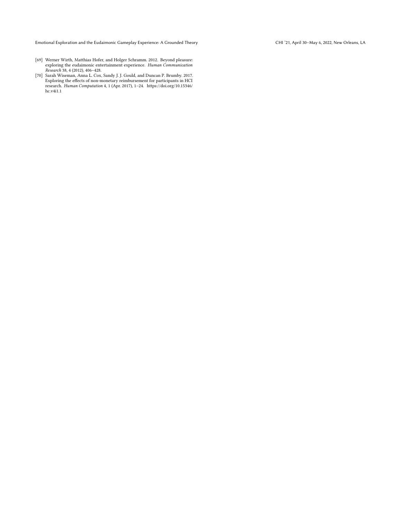- <span id="page-13-0"></span>[69] Werner Wirth, Matthias Hofer, and Holger Schramm. 2012. Beyond pleasure: exploring the eudaimonic entertainment experience. Human Communication Research 38, 4 (2012), 406–428.
- <span id="page-13-1"></span>[70] Sarah Wiseman, Anna L. Cox, Sandy J. J. Gould, and Duncan P. Brumby. 2017.<br>Exploring the effects of non-monetary reimbursement for participants in HCI<br>research. *Human Computation* 4, 1 (Apr. 2017), 1–24. https://doi. [hc.v4i1.1](https://doi.org/10.15346/hc.v4i1.1)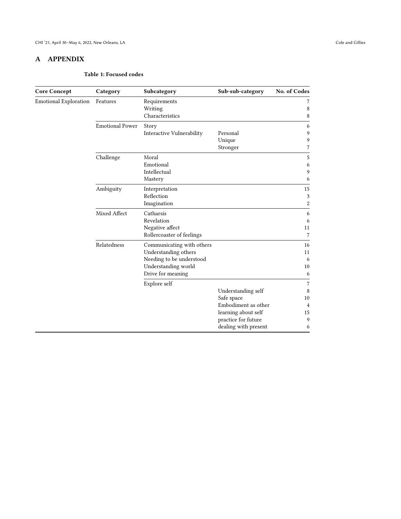# <span id="page-14-0"></span>A APPENDIX

#### Table 1: Focused codes

| <b>Core Concept</b>          | Category               | Subcategory               | Sub-sub-category     | No. of Codes   |
|------------------------------|------------------------|---------------------------|----------------------|----------------|
| <b>Emotional Exploration</b> | Features               | Requirements              |                      | 7              |
|                              |                        | Writing                   |                      | 8              |
|                              |                        | Characteristics           |                      | 8              |
|                              | <b>Emotional Power</b> | Story                     |                      | 6              |
|                              |                        | Interactive Vulnerability | Personal             | 9              |
|                              |                        |                           | Unique               | 9              |
|                              |                        |                           | Stronger             | 7              |
|                              | Challenge              | Moral                     |                      | 5              |
|                              |                        | Emotional                 |                      | 6              |
|                              |                        | Intellectual              |                      | 9              |
|                              |                        | Mastery                   |                      | 6              |
|                              | Ambiguity              | Interpretation            |                      | 15             |
|                              |                        | Reflection                |                      | 3              |
|                              |                        | Imagination               |                      | $\overline{c}$ |
|                              | Mixed Affect           | Catharsis                 |                      | 6              |
|                              |                        | Revelation                |                      | 6              |
|                              |                        | Negative affect           |                      | 11             |
|                              |                        | Rollercoaster of feelings |                      | 7              |
|                              | Relatedness            | Communicating with others |                      | 16             |
|                              |                        | Understanding others      |                      | 11             |
|                              |                        | Needing to be understood  |                      | 6              |
|                              |                        | Understanding world       |                      | 10             |
|                              |                        | Drive for meaning         |                      | 6              |
|                              |                        | Explore self              |                      | 7              |
|                              |                        |                           | Understanding self   | 8              |
|                              |                        |                           | Safe space           | 10             |
|                              |                        |                           | Embodiment as other  | 4              |
|                              |                        |                           | learning about self  | 15             |
|                              |                        |                           | practice for future  | 9              |
|                              |                        |                           | dealing with present | 6              |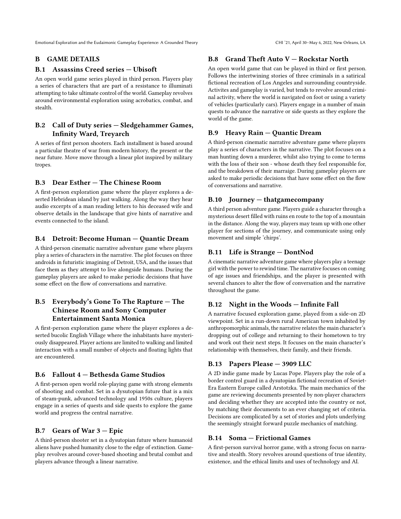# <span id="page-15-0"></span>B GAME DETAILS

## B.1 Assassins Creed series — Ubisoft

An open world game series played in third person. Players play a series of characters that are part of a resistance to illuminati attempting to take ultimate control of the world. Gameplay revolves around environmental exploration using acrobatics, combat, and stealth.

# B.2 Call of Duty series — Sledgehammer Games, Infinity Ward, Treyarch

A series of first person shooters. Each installment is based around a particular theatre of war from modern history, the present or the near future. Move move through a linear plot inspired by military tropes.

# B.3 Dear Esther — The Chinese Room

A first-person exploration game where the player explores a deserted Hebridean island by just walking. Along the way they hear audio excerpts of a man reading letters to his deceased wife and observe details in the landscape that give hints of narrative and events connected to the island.

# B.4 Detroit: Become Human — Quantic Dream

A third-person cinematic narrative adventure game where players play a series of characters in the narrative. The plot focuses on three androids in futuristic imagining of Detroit, USA, and the issues that face them as they attempt to live alongside humans. During the gameplay players are asked to make periodic decisions that have some effect on the flow of conversations and narrative.

# B.5 Everybody's Gone To The Rapture — The Chinese Room and Sony Computer Entertainment Santa Monica

A first-person exploration game where the player explores a deserted bucolic English Village where the inhabitants have mysteriously disappeared. Player actions are limited to walking and limited interaction with a small number of objects and floating lights that are encountered.

# B.6 Fallout 4 — Bethesda Game Studios

A first-person open world role-playing game with strong elements of shooting and combat. Set in a dysutopian future that is a mix of steam-punk, advanced technology and 1950s culture, players engage in a series of quests and side quests to explore the game world and progress the central narrative.

# B.7 Gears of War 3 — Epic

A third-person shooter set in a dysutopian future where humanoid aliens have pushed humanity close to the edge of extinction. Gameplay revolves around cover-based shooting and brutal combat and players advance through a linear narrative.

# B.8 Grand Theft Auto V — Rockstar North

An open world game that can be played in third or first person. Follows the intertwining stories of three criminals in a satirical fictional recreation of Los Angeles and surrounding countryside. Activites and gameplay is varied, but tends to revolve around criminal activity, where the world is navigated on foot or using a variety of vehicles (particularly cars). Players engage in a number of main quests to advance the narrative or side quests as they explore the world of the game.

# B.9 Heavy Rain — Quantic Dream

A third-person cinematic narrative adventure game where players play a series of characters in the narrative. The plot focuses on a man hunting down a murderer, whilst also trying to come to terms with the loss of their son - whose death they feel responsible for, and the breakdown of their marraige. During gameplay players are asked to make periodic decisions that have some effect on the flow of conversations and narrative.

# B.10 Journey — thatgamecompany

A third person adventure game. Players guide a character through a mysterious desert filled with ruins en route to the top of a mountain in the distance. Along the way, players may team up with one other player for sections of the journey, and communicate using only movement and simple 'chirps'.

# B.11 Life is Strange — DontNod

A cinematic narrative adventure game where players play a teenage girl with the power to rewind time. The narrative focuses on coming of age issues and friendships, and the player is presented with several chances to alter the flow of conversation and the narrative throughout the game.

# B.12 Night in the Woods — Infinite Fall

A narrative focused exploration game, played from a side-on 2D viewpoint. Set in a run-down rural American town inhabited by anthropomorphic animals, the narrative relates the main character's dropping out of college and returning to their hometown to try and work out their next steps. It focuses on the main character's relationship with themselves, their family, and their friends.

# B.13 Papers Please — 3909 LLC

A 2D indie game made by Lucas Pope. Players play the role of a border control guard in a dysutopian fictional recreation of Soviet-Era Eastern Europe called Arstotzka. The main mechanics of the game are reviewing documents presented by non-player characters and deciding whether they are accepted into the country or not, by matching their documents to an ever changing set of criteria. Decisions are complicated by a set of stories and plots underlying the seemingly straight forward puzzle mechanics of matching.

# B.14 Soma — Frictional Games

A first-person survival horror game, with a strong focus on narrative and stealth. Story revolves around questions of true identity, existence, and the ethical limits and uses of technology and AI.